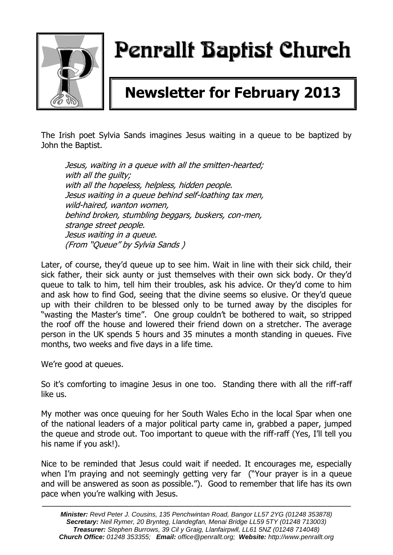

# Penrallt Baptist Church

## **Newsletter for February 2013**

The Irish poet Sylvia Sands imagines Jesus waiting in a queue to be baptized by John the Baptist.

Jesus, waiting in a queue with all the smitten-hearted; with all the quilty; with all the hopeless, helpless, hidden people. Jesus waiting in a queue behind self-loathing tax men, wild-haired, wanton women, behind broken, stumbling beggars, buskers, con-men, strange street people. Jesus waiting in a queue. (From "Queue" by Sylvia Sands )

Later, of course, they'd queue up to see him. Wait in line with their sick child, their sick father, their sick aunty or just themselves with their own sick body. Or they'd queue to talk to him, tell him their troubles, ask his advice. Or they'd come to him and ask how to find God, seeing that the divine seems so elusive. Or they'd queue up with their children to be blessed only to be turned away by the disciples for "wasting the Master's time". One group couldn't be bothered to wait, so stripped the roof off the house and lowered their friend down on a stretcher. The average person in the UK spends 5 hours and 35 minutes a month standing in queues. Five months, two weeks and five days in a life time.

We're good at queues.

So it's comforting to imagine Jesus in one too. Standing there with all the riff-raff like us.

My mother was once queuing for her South Wales Echo in the local Spar when one of the national leaders of a major political party came in, grabbed a paper, jumped the queue and strode out. Too important to queue with the riff-raff (Yes, I'll tell you his name if you ask!).

Nice to be reminded that Jesus could wait if needed. It encourages me, especially when I'm praying and not seemingly getting very far ("Your prayer is in a queue and will be answered as soon as possible."). Good to remember that life has its own pace when you're walking with Jesus.

———————————————————————————————————————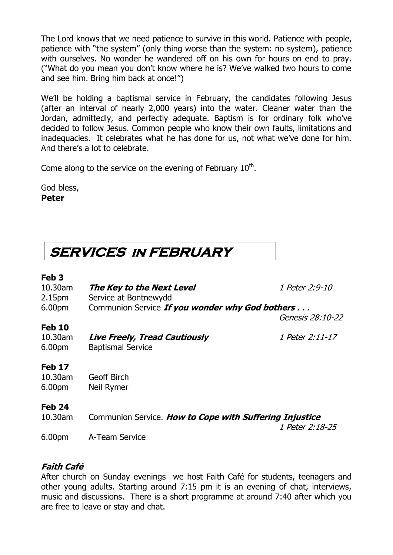The Lord knows that we need patience to survive in this world. Patience with people, patience with "the system" (only thing worse than the system: no system), patience with ourselves. No wonder he wandered off on his own for hours on end to pray. ("What do you mean you don't know where he is? We've walked two hours to come and see him. Bring him back at once!")

We'll be holding a baptismal service in February, the candidates following Jesus (after an interval of nearly 2,000 years) into the water. Cleaner water than the Jordan, admittedly, and perfectly adequate. Baptism is for ordinary folk who've decided to follow Jesus. Common people who know their own faults, limitations and inadequacies. It celebrates what he has done for us, not what we've done for him. And there's a lot to celebrate.

Come along to the service on the evening of February  $10<sup>th</sup>$ .

God bless, **Peter**

### **SERVICES in FEBRUARY**

#### **Feb 3**

| 10.30am<br>2.15 <sub>pm</sub>                  | The Key to the Next Level<br>Service at Bontnewydd               | 1 Peter 2:9-10   |
|------------------------------------------------|------------------------------------------------------------------|------------------|
| 6.00pm                                         | Communion Service If you wonder why God bothers                  | Genesis 28:10-22 |
| <b>Feb 10</b><br>10.30am<br>6.00 <sub>pm</sub> | <b>Live Freely, Tread Cautiously</b><br><b>Baptismal Service</b> | 1 Peter 2:11-17  |
| <b>Feb 17</b><br>10.30am<br>6.00pm             | <b>Geoff Birch</b><br>Neil Rymer                                 |                  |
| <b>Feb 24</b><br>10.30am                       | Communion Service. How to Cope with Suffering Injustice          |                  |
| 6.00pm                                         | A-Team Service                                                   | 1 Peter 2:18-25  |

### **Faith Café**

After church on Sunday evenings we host Faith Café for students, teenagers and other young adults. Starting around 7:15 pm it is an evening of chat, interviews, music and discussions. There is a short programme at around 7:40 after which you are free to leave or stay and chat.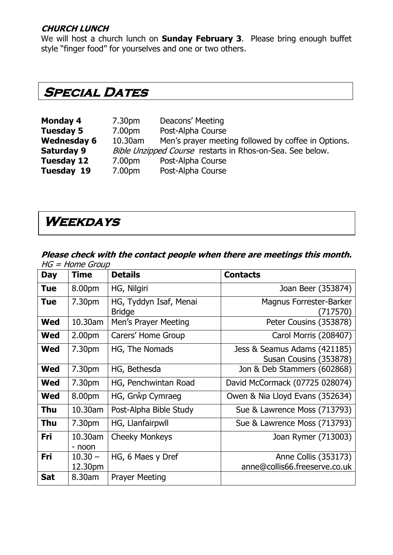#### **CHURCH LUNCH**

We will host a church lunch on **Sunday February 3**. Please bring enough buffet style "finger food" for yourselves and one or two others.

### **Special Dates**

| <b>Monday 4</b>    | 7.30 <sub>pm</sub>                                        | Deacons' Meeting                                    |
|--------------------|-----------------------------------------------------------|-----------------------------------------------------|
| <b>Tuesday 5</b>   | 7.00pm                                                    | Post-Alpha Course                                   |
| <b>Wednesday 6</b> | 10.30am                                                   | Men's prayer meeting followed by coffee in Options. |
| <b>Saturday 9</b>  | Bible Unzipped Course restarts in Rhos-on-Sea. See below. |                                                     |
| Tuesday 12         | 7.00pm                                                    | Post-Alpha Course                                   |
| <b>Tuesday 19</b>  | 7.00pm                                                    | Post-Alpha Course                                   |

### **Weekdays**

#### **Please check with the contact people when there are meetings this month.**   $HG = Home$  Group

| <b>Day</b> | <b>Time</b>          | <b>Details</b>                          | <b>Contacts</b>                                        |
|------------|----------------------|-----------------------------------------|--------------------------------------------------------|
| <b>Tue</b> | 8.00pm               | HG, Nilgiri                             | Joan Beer (353874)                                     |
| <b>Tue</b> | 7.30pm               | HG, Tyddyn Isaf, Menai<br><b>Bridge</b> | <b>Magnus Forrester-Barker</b><br>(717570)             |
| <b>Wed</b> | 10.30am              | Men's Prayer Meeting                    | Peter Cousins (353878)                                 |
| <b>Wed</b> | 2.00 <sub>pm</sub>   | Carers' Home Group                      | Carol Morris (208407)                                  |
| Wed        | 7.30 <sub>pm</sub>   | HG, The Nomads                          | Jess & Seamus Adams (421185)<br>Susan Cousins (353878) |
| Wed        | 7.30 <sub>pm</sub>   | HG, Bethesda                            | Jon & Deb Stammers (602868)                            |
| <b>Wed</b> | 7.30pm               | HG, Penchwintan Road                    | David McCormack (07725 028074)                         |
| <b>Wed</b> | 8.00pm               | HG, Grŵp Cymraeg                        | Owen & Nia Lloyd Evans (352634)                        |
| <b>Thu</b> | 10.30am              | Post-Alpha Bible Study                  | Sue & Lawrence Moss (713793)                           |
| Thu        | 7.30pm               | HG, Llanfairpwll                        | Sue & Lawrence Moss (713793)                           |
| Fri        | 10.30am<br>- noon    | <b>Cheeky Monkeys</b>                   | Joan Rymer (713003)                                    |
| Fri        | $10.30 -$<br>12.30pm | HG, 6 Maes y Dref                       | Anne Collis (353173)<br>anne@collis66.freeserve.co.uk  |
| <b>Sat</b> | 8.30am               | <b>Prayer Meeting</b>                   |                                                        |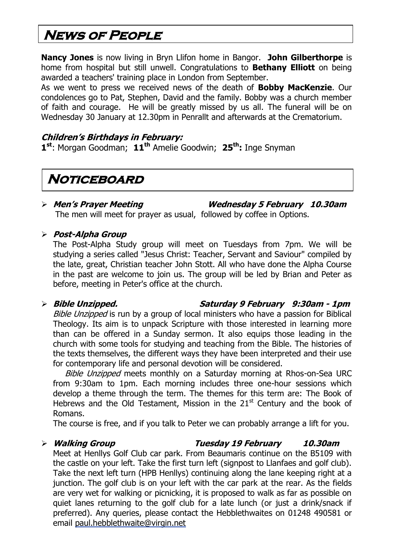### **News of People**

**Nancy Jones** is now living in Bryn Llifon home in Bangor. **John Gilberthorpe** is home from hospital but still unwell. Congratulations to **Bethany Elliott** on being awarded a teachers' training place in London from September.

As we went to press we received news of the death of **Bobby MacKenzie**. Our condolences go to Pat, Stephen, David and the family. Bobby was a church member of faith and courage. He will be greatly missed by us all. The funeral will be on Wednesday 30 January at 12.30pm in Penrallt and afterwards at the Crematorium.

#### **Children's Birthdays in February:**

**1 st**: Morgan Goodman; **11th** Amelie Goodwin; **25th:** Inge Snyman

### **Noticeboard**

 **Men's Prayer Meeting Wednesday 5 February 10.30am** The men will meet for prayer as usual, followed by coffee in Options.

#### **Post-Alpha Group**

The Post-Alpha Study group will meet on Tuesdays from 7pm. We will be studying a series called "Jesus Christ: Teacher, Servant and Saviour" compiled by the late, great, Christian teacher John Stott. All who have done the Alpha Course in the past are welcome to join us. The group will be led by Brian and Peter as before, meeting in Peter's office at the church.

#### **Bible Unzipped. Saturday 9 February 9:30am - 1pm**

Bible Unzipped is run by a group of local ministers who have a passion for Biblical Theology. Its aim is to unpack Scripture with those interested in learning more than can be offered in a Sunday sermon. It also equips those leading in the church with some tools for studying and teaching from the Bible. The histories of the texts themselves, the different ways they have been interpreted and their use for contemporary life and personal devotion will be considered.

Bible Unzipped meets monthly on a Saturday morning at Rhos-on-Sea URC from 9:30am to 1pm. Each morning includes three one-hour sessions which develop a theme through the term. The themes for this term are: The Book of Hebrews and the Old Testament, Mission in the  $21<sup>st</sup>$  Century and the book of Romans.

The course is free, and if you talk to Peter we can probably arrange a lift for you.

#### **Walking Group Tuesday 19 February 10.30am**

Meet at Henllys Golf Club car park. From Beaumaris continue on the B5109 with the castle on your left. Take the first turn left (signpost to Llanfaes and golf club). Take the next left turn (HPB Henllys) continuing along the lane keeping right at a junction. The golf club is on your left with the car park at the rear. As the fields are very wet for walking or picnicking, it is proposed to walk as far as possible on quiet lanes returning to the golf club for a late lunch (or just a drink/snack if preferred). Any queries, please contact the Hebblethwaites on 01248 490581 or email [paul.hebblethwaite@virgin.net](mailto:paul.hebblethwaite@virgin.net)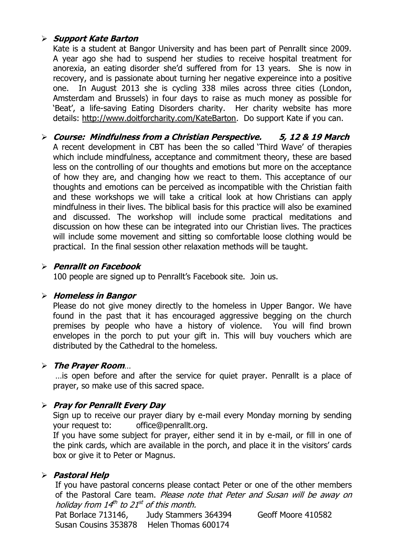#### **Support Kate Barton**

Kate is a student at Bangor University and has been part of Penrallt since 2009. A year ago she had to suspend her studies to receive hospital treatment for anorexia, an eating disorder she'd suffered from for 13 years. She is now in recovery, and is passionate about turning her negative expereince into a positive one. In August 2013 she is cycling 338 miles across three cities (London, Amsterdam and Brussels) in four days to raise as much money as possible for 'Beat', a life-saving Eating Disorders charity. Her charity website has more details: [http://www.doitforcharity.com/KateBarton.](http://www.doitforcharity.com/KateBarton) Do support Kate if you can.

 **Course: Mindfulness from a Christian Perspective. 5, 12 & 19 March** A recent development in CBT has been the so called 'Third Wave' of therapies which include mindfulness, acceptance and commitment theory, these are based less on the controlling of our thoughts and emotions but more on the acceptance of how they are, and changing how we react to them. This acceptance of our thoughts and emotions can be perceived as incompatible with the Christian faith and these workshops we will take a critical look at how Christians can apply mindfulness in their lives. The biblical basis for this practice will also be examined and discussed. The workshop will include some practical meditations and discussion on how these can be integrated into our Christian lives. The practices will include some movement and sitting so comfortable loose clothing would be practical. In the final session other relaxation methods will be taught.

#### **Penrallt on Facebook**

100 people are signed up to Penrallt's Facebook site. Join us.

#### **Homeless in Bangor**

Please do not give money directly to the homeless in Upper Bangor. We have found in the past that it has encouraged aggressive begging on the church premises by people who have a history of violence. You will find brown envelopes in the porch to put your gift in. This will buy vouchers which are distributed by the Cathedral to the homeless.

#### **The Prayer Room**…

…is open before and after the service for quiet prayer. Penrallt is a place of prayer, so make use of this sacred space.

#### **Pray for Penrallt Every Day**

Sign up to receive our prayer diary by e-mail every Monday morning by sending your request to: [office@penrallt.org.](mailto:office@penrallt.org)

If you have some subject for prayer, either send it in by e-mail, or fill in one of the pink cards, which are available in the porch, and place it in the visitors' cards box or give it to Peter or Magnus.

#### **Pastoral Help**

If you have pastoral concerns please contact Peter or one of the other members of the Pastoral Care team. Please note that Peter and Susan will be away on holiday from 14<sup>th</sup> to 21<sup>st</sup> of this month.

```
Pat Borlace 713146, Judy Stammers 364394 Geoff Moore 410582
Susan Cousins 353878 Helen Thomas 600174
```